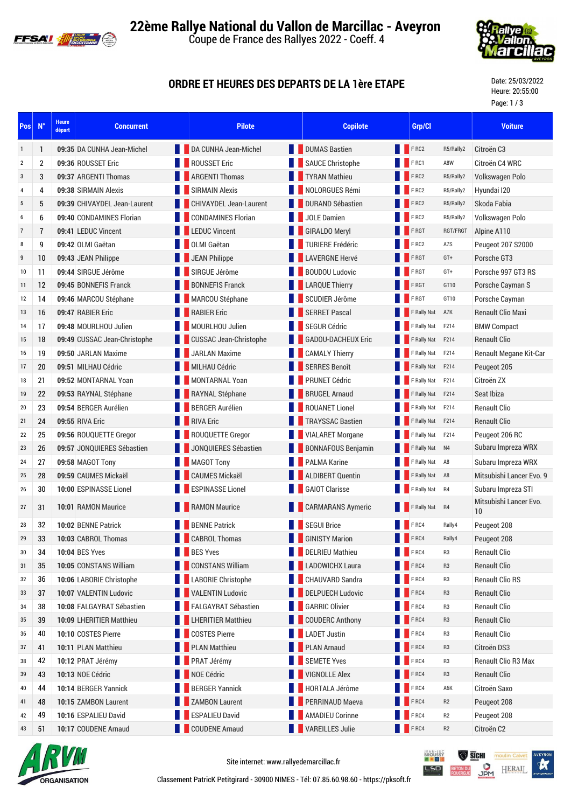



## **ORDRE ET HEURES DES DEPARTS DE LA 1ère ETAPE**

Date: 25/03/2022 Heure: 20:55:00 Page: 1 / 3

| Pos              | $N^{\circ}$    | <b>Heure</b><br>départ | <b>Concurrent</b>            |  | <b>Pilote</b>                 |  | <b>Copilote</b>           |  | Grp/Cl           |                | <b>Voiture</b>               |
|------------------|----------------|------------------------|------------------------------|--|-------------------------------|--|---------------------------|--|------------------|----------------|------------------------------|
| $\mathbf{1}$     | 1              |                        | 09:35 DA CUNHA Jean-Michel   |  | DA CUNHA Jean-Michel          |  | <b>DUMAS Bastien</b>      |  | FRC2             | R5/Rally2      | Citroën C <sub>3</sub>       |
| $\boldsymbol{2}$ | $\overline{2}$ |                        | 09:36 ROUSSET Eric           |  | <b>ROUSSET Eric</b>           |  | <b>SAUCE Christophe</b>   |  | FRC1             | A8W            | Citroën C4 WRC               |
| 3                | 3              |                        | 09:37 ARGENTI Thomas         |  | <b>ARGENTI Thomas</b>         |  | <b>TYRAN Mathieu</b>      |  | FRC2             | R5/Rally2      | Volkswagen Polo              |
| 4                | 4              |                        | 09:38 SIRMAIN Alexis         |  | <b>SIRMAIN Alexis</b>         |  | NOLORGUES Rémi            |  | FRC2             | R5/Rally2      | Hyundai I20                  |
| 5                | 5              |                        | 09:39 CHIVAYDEL Jean-Laurent |  | CHIVAYDEL Jean-Laurent        |  | <b>DURAND Sébastien</b>   |  | FRC2             | R5/Rally2      | Skoda Fabia                  |
| 6                | 6              |                        | 09:40 CONDAMINES Florian     |  | <b>CONDAMINES Florian</b>     |  | <b>JOLE Damien</b>        |  | FRC2             | R5/Rally2      | Volkswagen Polo              |
| $\overline{7}$   | $\overline{1}$ |                        | 09:41 LEDUC Vincent          |  | <b>EDUC Vincent</b>           |  | <b>GIRALDO Meryl</b>      |  | F RGT            | RGT/FRGT       | Alpine A110                  |
| 8                | 9              |                        | 09:42 OLMI Gaëtan            |  | <b>OLMI Gaëtan</b>            |  | <b>TURIERE Frédéric</b>   |  | FRC2             | A7S            | Peugeot 207 S2000            |
| 9                | 10             |                        | 09:43 JEAN Philippe          |  | <b>JEAN Philippe</b>          |  | <b>LAVERGNE Hervé</b>     |  | F RGT            | GT+            | Porsche GT3                  |
| 10               | 11             |                        | 09:44 SIRGUE Jérôme          |  | SIRGUE Jérôme                 |  | <b>BOUDOU Ludovic</b>     |  | F RGT            | GT+            | Porsche 997 GT3 RS           |
| 11               | 12             |                        | 09:45 BONNEFIS Franck        |  | <b>BONNEFIS Franck</b>        |  | <b>LARQUE Thierry</b>     |  | F RGT            | GT10           | Porsche Cayman S             |
| 12               | 14             |                        | 09:46 MARCOU Stéphane        |  | MARCOU Stéphane               |  | SCUDIER Jérôme            |  | F RGT            | GT10           | Porsche Cayman               |
| 13               | 16             |                        | 09:47 RABIER Eric            |  | <b>RABIER Eric</b>            |  | <b>SERRET Pascal</b>      |  | F Rally Nat      | A7K            | <b>Renault Clio Maxi</b>     |
| 14               | 17             |                        | 09:48 MOURLHOU Julien        |  | MOURLHOU Julien               |  | <b>SEGUR Cédric</b>       |  | F Rally Nat      | F214           | <b>BMW Compact</b>           |
| 15               | 18             |                        | 09:49 CUSSAC Jean-Christophe |  | <b>CUSSAC Jean-Christophe</b> |  | <b>GADOU-DACHEUX Eric</b> |  | F Rally Nat      | F214           | <b>Renault Clio</b>          |
| 16               | 19             |                        | 09:50 JARLAN Maxime          |  | <b>JARLAN Maxime</b>          |  | <b>CAMALY Thierry</b>     |  | F Rally Nat      | F214           | Renault Megane Kit-Car       |
| 17               | 20             |                        | 09:51 MILHAU Cédric          |  | MILHAU Cédric                 |  | <b>SERRES Benoît</b>      |  | F Rally Nat      | F214           | Peugeot 205                  |
| 18               | 21             |                        | 09:52 MONTARNAL Yoan         |  | MONTARNAL Yoan                |  | <b>PRUNET Cédric</b>      |  | F Rally Nat      | F214           | Citroën ZX                   |
| 19               | 22             |                        | 09:53 RAYNAL Stéphane        |  | RAYNAL Stéphane               |  | <b>BRUGEL Arnaud</b>      |  | F Rally Nat F214 |                | Seat Ibiza                   |
| 20               | 23             |                        | 09:54 BERGER Aurélien        |  | <b>BERGER Aurélien</b>        |  | <b>ROUANET Lionel</b>     |  | F Rally Nat      | F214           | <b>Renault Clio</b>          |
| 21               | 24             |                        | 09:55 RIVA Eric              |  | <b>RIVA Eric</b>              |  | <b>TRAYSSAC Bastien</b>   |  | F Rally Nat      | F214           | <b>Renault Clio</b>          |
| 22               | 25             |                        | 09:56 ROUQUETTE Gregor       |  | ROUQUETTE Gregor              |  | <b>VIALARET Morgane</b>   |  | F Rally Nat      | F214           | Peugeot 206 RC               |
| 23               | 26             |                        | 09:57 JONQUIERES Sébastien   |  | JONQUIERES Sébastien          |  | <b>BONNAFOUS Benjamin</b> |  | F Rally Nat      | N4             | Subaru Impreza WRX           |
| 24               | 27             |                        | 09:58 MAGOT Tony             |  | <b>MAGOT Tony</b>             |  | <b>PALMA Karine</b>       |  | F Rally Nat      | A8             | Subaru Impreza WRX           |
| 25               | 28             |                        | 09:59 CAUMES Mickaël         |  | <b>CAUMES Mickaël</b>         |  | <b>ALDIBERT Quentin</b>   |  | F Rally Nat A8   |                | Mitsubishi Lancer Evo. 9     |
| 26               | 30             |                        | 10:00 ESPINASSE Lionel       |  | <b>ESPINASSE Lionel</b>       |  | <b>GAIOT Clarisse</b>     |  | F Rally Nat      | R4             | Subaru Impreza STI           |
| 27               | 31             |                        | 10:01 RAMON Maurice          |  | <b>RAMON Maurice</b>          |  | <b>CARMARANS Aymeric</b>  |  | F Rally Nat R4   |                | Mitsubishi Lancer Evo.<br>10 |
| 28               | 32             |                        | 10:02 BENNE Patrick          |  | <b>BENNE Patrick</b>          |  | <b>SEGUI Brice</b>        |  | FRC4             | Rally4         | Peugeot 208                  |
| 29               | 33             |                        | 10:03 CABROL Thomas          |  | <b>CABROL Thomas</b>          |  | <b>GINISTY Marion</b>     |  | FRC4             | Rally4         | Peugeot 208                  |
| 30               | 34             |                        | <b>10:04 BES Yves</b>        |  | <b>BES Yves</b>               |  | DELRIEU Mathieu           |  | FRC4             | R <sub>3</sub> | <b>Renault Clio</b>          |
| 31               | 35             |                        | 10:05 CONSTANS William       |  | <b>CONSTANS William</b>       |  | <b>LADOWICHX Laura</b>    |  | FRC4             | R <sub>3</sub> | <b>Renault Clio</b>          |
| 32               | 36             |                        | 10:06 LABORIE Christophe     |  | <b>LABORIE Christophe</b>     |  | CHAUVARD Sandra           |  | FRC4             | R3             | <b>Renault Clio RS</b>       |
| 33               | 37             |                        | 10:07 VALENTIN Ludovic       |  | <b>VALENTIN Ludovic</b>       |  | <b>DELPUECH Ludovic</b>   |  | FRC4             | R <sub>3</sub> | <b>Renault Clio</b>          |
| 34               | 38             |                        | 10:08 FALGAYRAT Sébastien    |  | FALGAYRAT Sébastien           |  | <b>GARRIC Olivier</b>     |  | FRC4             | R3             | <b>Renault Clio</b>          |
| 35               | 39             |                        | 10:09 LHERITIER Matthieu     |  | <b>LHERITIER Matthieu</b>     |  | <b>COUDERC Anthony</b>    |  | FRC4             | R <sub>3</sub> | <b>Renault Clio</b>          |
| 36               | 40             |                        | 10:10 COSTES Pierre          |  | <b>COSTES Pierre</b>          |  | <b>LADET Justin</b>       |  | FRC4             | R <sub>3</sub> | <b>Renault Clio</b>          |
| 37               | 41             |                        | 10:11 PLAN Matthieu          |  | <b>PLAN Matthieu</b>          |  | <b>PLAN Arnaud</b>        |  | FRC4             | R <sub>3</sub> | Citroën DS3                  |
| 38               | 42             |                        | 10:12 PRAT Jérémy            |  | PRAT Jérémy                   |  | <b>SEMETE Yves</b>        |  | FRC4             | R <sub>3</sub> | Renault Clio R3 Max          |
| 39               | 43             |                        | 10:13 NOE Cédric             |  | NOE Cédric                    |  | <b>VIGNOLLE Alex</b>      |  | F <sub>RC4</sub> | R <sub>3</sub> | <b>Renault Clio</b>          |
| 40               | 44             |                        | 10:14 BERGER Yannick         |  | <b>BERGER Yannick</b>         |  | HORTALA Jérôme            |  | FRC4             | A6K            | Citroën Saxo                 |
| 41               | 48             |                        | 10:15 ZAMBON Laurent         |  | <b>ZAMBON Laurent</b>         |  | PERRINAUD Maeva           |  | FRC4             | R <sub>2</sub> | Peugeot 208                  |
| 42               | 49             |                        | 10:16 ESPALIEU David         |  | <b>ESPALIEU David</b>         |  | <b>AMADIEU Corinne</b>    |  | FRC4             | R <sub>2</sub> | Peugeot 208                  |
| 43               | 51             |                        | 10:17 COUDENE Arnaud         |  | <b>COUDENE Arnaud</b>         |  | <b>VAREILLES Julie</b>    |  | FRC4             | R <sub>2</sub> | Citroën C2                   |



Site internet: www.rallyedemarcillac.fr

BROUSSY SICHI E **O**<sub>LU</sub> LSD HERAIL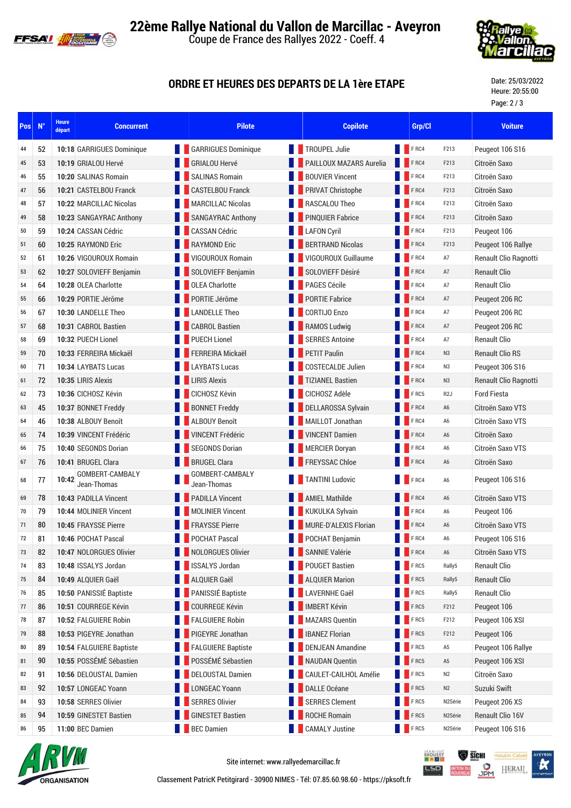



## **ORDRE ET HEURES DES DEPARTS DE LA 1ère ETAPE**

Date: 25/03/2022 Heure: 20:55:00 Page: 2 / 3

| Pos | $N^{\circ}$ | <b>Heure</b><br>départ | <b>Concurrent</b>              | <b>Pilote</b>                  |                        | <b>Copilote</b>          |             |                  | <b>Voiture</b>         |
|-----|-------------|------------------------|--------------------------------|--------------------------------|------------------------|--------------------------|-------------|------------------|------------------------|
| 44  | 52          |                        | 10:18 GARRIGUES Dominique      | <b>CARRIGUES Dominique</b>     | <b>TROUPEL Julie</b>   |                          | <b>FRC4</b> | F213             | Peugeot 106 S16        |
| 45  | 53          |                        | 10:19 GRIALOU Hervé            | <b>GRIALOU Hervé</b>           |                        | PAILLOUX MAZARS Aurelia  | FRC4        | F213             | Citroën Saxo           |
| 46  | 55          |                        | 10:20 SALINAS Romain           | <b>SALINAS Romain</b>          |                        | <b>BOUVIER Vincent</b>   | F RC4       | F213             | Citroën Saxo           |
| 47  | 56          |                        | 10:21 CASTELBOU Franck         | <b>CASTELBOU Franck</b>        |                        | <b>PRIVAT Christophe</b> | FRC4        | F213             | Citroën Saxo           |
| 48  | 57          |                        | 10:22 MARCILLAC Nicolas        | <b>MARCILLAC Nicolas</b>       | RASCALOU Theo          |                          | FRC4        | F213             | Citroën Saxo           |
| 49  | 58          |                        | 10:23 SANGAYRAC Anthony        | <b>SANGAYRAC Anthony</b>       |                        | <b>PINQUIER Fabrice</b>  | FRC4        | F213             | Citroën Saxo           |
| 50  | 59          |                        | 10:24 CASSAN Cédric            | <b>CASSAN Cédric</b>           | <b>LAFON Cyril</b>     |                          | FRC4        | F213             | Peugeot 106            |
| 51  | 60          |                        | 10:25 RAYMOND Eric             | <b>RAYMOND Eric</b>            |                        | <b>BERTRAND Nicolas</b>  | FRC4        | F213             | Peugeot 106 Rallye     |
| 52  | 61          |                        | 10:26 VIGOUROUX Romain         | VIGOUROUX Romain               |                        | VIGOUROUX Guillaume      | FRC4        | A7               | Renault Clio Ragnotti  |
| 53  | 62          |                        | 10:27 SOLOVIEFF Benjamin       | SOLOVIEFF Benjamin             |                        | SOLOVIEFF Désiré         | FRC4        | A7               | <b>Renault Clio</b>    |
| 54  | 64          |                        | 10:28 OLEA Charlotte           | <b>OLEA Charlotte</b>          | PAGES Cécile           |                          | FRC4        | A7               | <b>Renault Clio</b>    |
| 55  | 66          |                        | 10:29 PORTIE Jérôme            | PORTIE Jérôme                  | <b>PORTIE Fabrice</b>  |                          | FRC4        | A7               | Peugeot 206 RC         |
| 56  | 67          |                        | 10:30 LANDELLE Theo            | <b>LANDELLE Theo</b>           | CORTIJO Enzo           |                          | FRC4        | A7               | Peugeot 206 RC         |
| 57  | 68          |                        | 10:31 CABROL Bastien           | <b>CABROL Bastien</b>          | <b>RAMOS Ludwig</b>    |                          | FRC4        | A7               | Peugeot 206 RC         |
| 58  | 69          |                        | 10:32 PUECH Lionel             | <b>PUECH Lionel</b>            | <b>SERRES Antoine</b>  |                          | FRC4        | A7               | <b>Renault Clio</b>    |
| 59  | 70          |                        | 10:33 FERREIRA Mickaël         | FERREIRA Mickaël               | <b>PETIT Paulin</b>    |                          | FRC4        | N <sub>3</sub>   | <b>Renault Clio RS</b> |
| 60  | 71          |                        | 10:34 LAYBATS Lucas            | <b>LAYBATS Lucas</b>           |                        | <b>COSTECALDE Julien</b> | FRC4        | N3               | Peugeot 306 S16        |
| 61  | 72          |                        | 10:35 LIRIS Alexis             | <b>LIRIS Alexis</b>            |                        | <b>TIZIANEL Bastien</b>  | FRC4        | N3               | Renault Clio Ragnotti  |
| 62  | 73          |                        | 10:36 CICHOSZ Kévin            | CICHOSZ Kévin                  | <b>CICHOSZ Adèle</b>   |                          | FRC5        | R <sub>2</sub> J | <b>Ford Fiesta</b>     |
| 63  | 45          |                        | 10:37 BONNET Freddy            | <b>BONNET Freddy</b>           |                        | DELLAROSSA Sylvain       | FRC4        | A <sub>6</sub>   | Citroën Saxo VTS       |
| 64  | 46          |                        | 10:38 ALBOUY Benoît            | <b>ALBOUY Benoît</b>           |                        | MAILLOT Jonathan         | FRC4        | A <sub>6</sub>   | Citroën Saxo VTS       |
| 65  | 74          |                        | 10:39 VINCENT Frédéric         | <b>VINCENT Frédéric</b>        |                        | <b>VINCENT Damien</b>    | FRC4        | A <sub>6</sub>   | Citroën Saxo           |
| 66  | 75          |                        | 10:40 SEGONDS Dorian           | <b>SEGONDS Dorian</b>          | <b>MERCIER Doryan</b>  |                          | FRC4        | A <sub>6</sub>   | Citroën Saxo VTS       |
| 67  | 76          |                        | 10:41 BRUGEL Clara             | <b>BRUGEL Clara</b>            | <b>FREYSSAC Chloe</b>  |                          | <b>FRC4</b> | A6               | Citroën Saxo           |
| 68  | 77          | 10:42                  | GOMBERT-CAMBALY<br>Jean-Thomas | GOMBERT-CAMBALY<br>Jean-Thomas | <b>TANTINI Ludovic</b> |                          | FRC4        | A <sub>6</sub>   | Peugeot 106 S16        |
| 69  | 78          |                        | 10:43 PADILLA Vincent          | <b>PADILLA Vincent</b>         | <b>AMIEL Mathilde</b>  |                          | FRC4        | A <sub>6</sub>   | Citroën Saxo VTS       |
| 70  | 79          |                        | 10:44 MOLINIER Vincent         | <b>MOLINIER Vincent</b>        |                        | <b>KUKULKA Sylvain</b>   | FRC4        | A6               | Peugeot 106            |
| 71  | 80          |                        | 10:45 FRAYSSE Pierre           | <b>FRAYSSE Pierre</b>          |                        | MURE-D'ALEXIS Florian    | FRC4        | A <sub>6</sub>   | Citroën Saxo VTS       |
| 72  | 81          |                        | 10:46 POCHAT Pascal            | POCHAT Pascal                  | POCHAT Benjamin        |                          | <b>FRC4</b> | A <sub>6</sub>   | Peugeot 106 S16        |
| 73  | 82          |                        | 10:47 NOLORGUES Olivier        | <b>NOLORGUES Olivier</b>       | <b>SANNIE Valérie</b>  |                          | FRC4        | A6               | Citroën Saxo VTS       |
| 74  | 83          |                        | 10:48 ISSALYS Jordan           | <b>ISSALYS Jordan</b>          | <b>POUGET Bastien</b>  |                          | FRC5        | Rally5           | <b>Renault Clio</b>    |
| 75  | 84          |                        | 10:49 ALQUIER Gaël             | ALQUIER Gaël                   | <b>ALQUIER Marion</b>  |                          | FRC5        | Rally5           | <b>Renault Clio</b>    |
| 76  | 85          |                        | 10:50 PANISSIÉ Baptiste        | PANISSIÉ Baptiste              | <b>LAVERNHE Gaël</b>   |                          | FRC5        | Rally5           | <b>Renault Clio</b>    |
| 77  | 86          |                        | 10:51 COURREGE Kévin           | <b>COURREGE Kévin</b>          | <b>IMBERT Kévin</b>    |                          | FRC5        | F212             | Peugeot 106            |
| 78  | 87          |                        | 10:52 FALGUIERE Robin          | <b>FALGUIERE Robin</b>         |                        | <b>MAZARS Quentin</b>    | FRC5        | F212             | Peugeot 106 XSI        |
| 79  | 88          |                        | 10:53 PIGEYRE Jonathan         | PIGEYRE Jonathan               | <b>IBANEZ Florian</b>  |                          | FRC5        | F212             | Peugeot 106            |
| 80  | 89          |                        | 10:54 FALGUIERE Baptiste       | <b>FALGUIERE Baptiste</b>      |                        | <b>DENJEAN Amandine</b>  | FRC5        | A5               | Peugeot 106 Rallye     |
| 81  | 90          |                        | 10:55 POSSÉMÉ Sébastien        | POSSÉMÉ Sébastien              |                        | <b>NAUDAN Quentin</b>    | <b>FRC5</b> | A5               | Peugeot 106 XSI        |
| 82  | 91          |                        | 10:56 DELOUSTAL Damien         | <b>DELOUSTAL Damien</b>        |                        | CAULET-CAILHOL Amélie    | FRC5        | N <sub>2</sub>   | Citroën Saxo           |
| 83  | 92          |                        | 10:57 LONGEAC Yoann            | <b>LONGEAC Yoann</b>           | <b>DALLE Océane</b>    |                          | FRC5        | N <sub>2</sub>   | Suzuki Swift           |
| 84  | 93          |                        | 10:58 SERRES Olivier           | <b>SERRES Olivier</b>          |                        | <b>SERRES Clement</b>    | FRC5        | N2Série          | Peugeot 206 XS         |
| 85  | 94          |                        | 10:59 GINESTET Bastien         | <b>GINESTET Bastien</b>        | <b>ROCHE Romain</b>    |                          | FRC5        | N2Série          | Renault Clio 16V       |
| 86  | 95          |                        | 11:00 BEC Damien               | <b>BEC Damien</b>              | <b>CAMALY Justine</b>  |                          | FRC5        | N2Série          | Peugeot 106 S16        |



Site internet: www.rallyedemarcillac.fr

**BROUSSY** SICHI moulin C LSD E **O** HERAIL